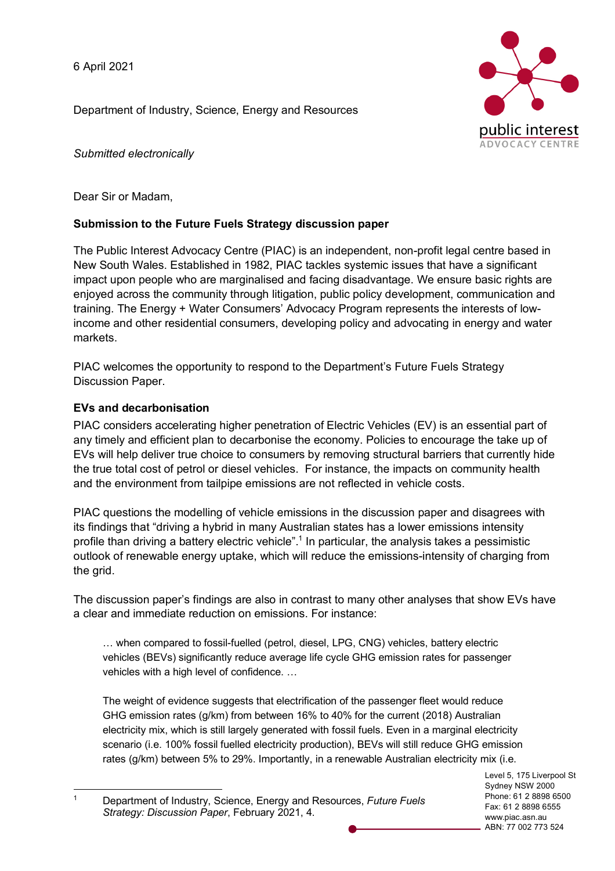6 April 2021

Department of Industry, Science, Energy and Resources



*Submitted electronically*

Dear Sir or Madam,

# **Submission to the Future Fuels Strategy discussion paper**

The Public Interest Advocacy Centre (PIAC) is an independent, non-profit legal centre based in New South Wales. Established in 1982, PIAC tackles systemic issues that have a significant impact upon people who are marginalised and facing disadvantage. We ensure basic rights are enjoyed across the community through litigation, public policy development, communication and training. The Energy + Water Consumers' Advocacy Program represents the interests of lowincome and other residential consumers, developing policy and advocating in energy and water markets.

PIAC welcomes the opportunity to respond to the Department's Future Fuels Strategy Discussion Paper.

# **EVs and decarbonisation**

PIAC considers accelerating higher penetration of Electric Vehicles (EV) is an essential part of any timely and efficient plan to decarbonise the economy. Policies to encourage the take up of EVs will help deliver true choice to consumers by removing structural barriers that currently hide the true total cost of petrol or diesel vehicles. For instance, the impacts on community health and the environment from tailpipe emissions are not reflected in vehicle costs.

PIAC questions the modelling of vehicle emissions in the discussion paper and disagrees with its findings that "driving a hybrid in many Australian states has a lower emissions intensity profile than driving a battery electric vehicle".<sup>1</sup> In particular, the analysis takes a pessimistic outlook of renewable energy uptake, which will reduce the emissions-intensity of charging from the grid.

The discussion paper's findings are also in contrast to many other analyses that show EVs have a clear and immediate reduction on emissions. For instance:

… when compared to fossil-fuelled (petrol, diesel, LPG, CNG) vehicles, battery electric vehicles (BEVs) significantly reduce average life cycle GHG emission rates for passenger vehicles with a high level of confidence. …

The weight of evidence suggests that electrification of the passenger fleet would reduce GHG emission rates (g/km) from between 16% to 40% for the current (2018) Australian electricity mix, which is still largely generated with fossil fuels. Even in a marginal electricity scenario (i.e. 100% fossil fuelled electricity production), BEVs will still reduce GHG emission rates (g/km) between 5% to 29%. Importantly, in a renewable Australian electricity mix (i.e.

Level 5, 175 Liverpool St Sydney NSW 2000 Phone: 61 2 8898 6500 Fax: 61 2 8898 6555 www.piac.asn.au ABN: 77 002 773 524

 <sup>1</sup> Department of Industry, Science, Energy and Resources, *Future Fuels Strategy: Discussion Paper*, February 2021, 4.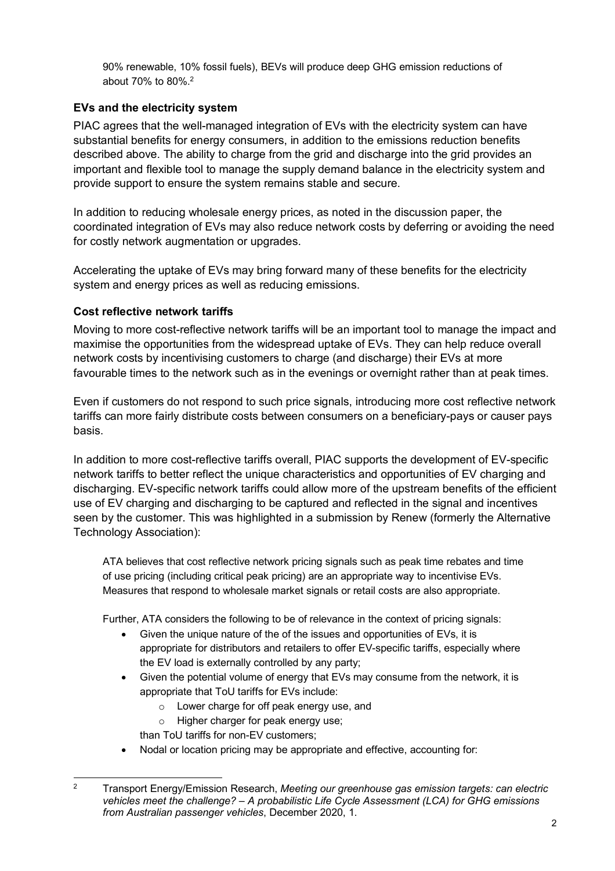90% renewable, 10% fossil fuels), BEVs will produce deep GHG emission reductions of about 70% to 80%.2

### **EVs and the electricity system**

PIAC agrees that the well-managed integration of EVs with the electricity system can have substantial benefits for energy consumers, in addition to the emissions reduction benefits described above. The ability to charge from the grid and discharge into the grid provides an important and flexible tool to manage the supply demand balance in the electricity system and provide support to ensure the system remains stable and secure.

In addition to reducing wholesale energy prices, as noted in the discussion paper, the coordinated integration of EVs may also reduce network costs by deferring or avoiding the need for costly network augmentation or upgrades.

Accelerating the uptake of EVs may bring forward many of these benefits for the electricity system and energy prices as well as reducing emissions.

### **Cost reflective network tariffs**

Moving to more cost-reflective network tariffs will be an important tool to manage the impact and maximise the opportunities from the widespread uptake of EVs. They can help reduce overall network costs by incentivising customers to charge (and discharge) their EVs at more favourable times to the network such as in the evenings or overnight rather than at peak times.

Even if customers do not respond to such price signals, introducing more cost reflective network tariffs can more fairly distribute costs between consumers on a beneficiary-pays or causer pays basis.

In addition to more cost-reflective tariffs overall, PIAC supports the development of EV-specific network tariffs to better reflect the unique characteristics and opportunities of EV charging and discharging. EV-specific network tariffs could allow more of the upstream benefits of the efficient use of EV charging and discharging to be captured and reflected in the signal and incentives seen by the customer. This was highlighted in a submission by Renew (formerly the Alternative Technology Association):

ATA believes that cost reflective network pricing signals such as peak time rebates and time of use pricing (including critical peak pricing) are an appropriate way to incentivise EVs. Measures that respond to wholesale market signals or retail costs are also appropriate.

Further, ATA considers the following to be of relevance in the context of pricing signals:

- Given the unique nature of the of the issues and opportunities of EVs, it is appropriate for distributors and retailers to offer EV-specific tariffs, especially where the EV load is externally controlled by any party;
- Given the potential volume of energy that EVs may consume from the network, it is appropriate that ToU tariffs for EVs include:
	- o Lower charge for off peak energy use, and
	- o Higher charger for peak energy use;

than ToU tariffs for non-EV customers;

• Nodal or location pricing may be appropriate and effective, accounting for:

 <sup>2</sup> Transport Energy/Emission Research, *Meeting our greenhouse gas emission targets: can electric vehicles meet the challenge? – A probabilistic Life Cycle Assessment (LCA) for GHG emissions from Australian passenger vehicles*, December 2020, 1.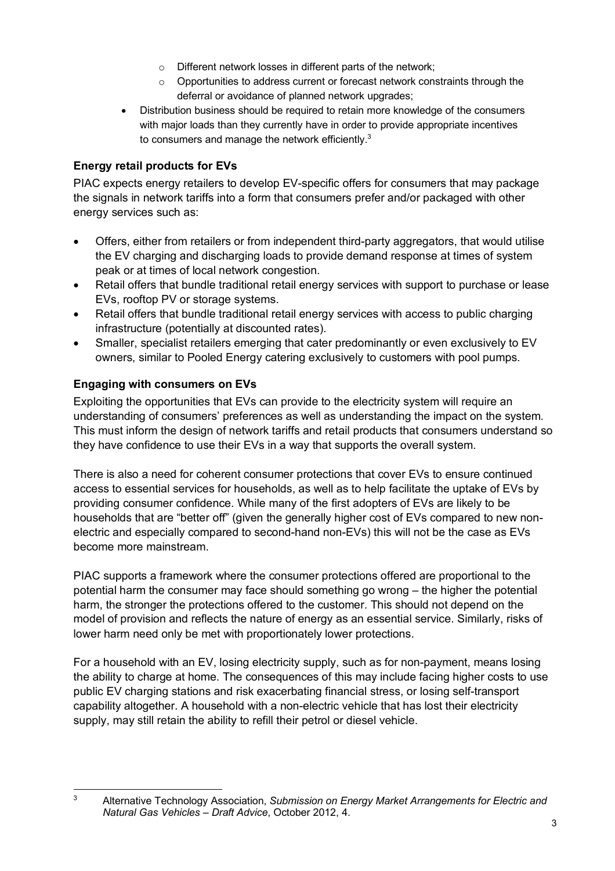- o Different network losses in different parts of the network;
- $\circ$  Opportunities to address current or forecast network constraints through the deferral or avoidance of planned network upgrades;
- Distribution business should be required to retain more knowledge of the consumers with major loads than they currently have in order to provide appropriate incentives to consumers and manage the network efficiently.<sup>3</sup>

## **Energy retail products for EVs**

PIAC expects energy retailers to develop EV-specific offers for consumers that may package the signals in network tariffs into a form that consumers prefer and/or packaged with other energy services such as:

- Offers, either from retailers or from independent third-party aggregators, that would utilise the EV charging and discharging loads to provide demand response at times of system peak or at times of local network congestion.
- Retail offers that bundle traditional retail energy services with support to purchase or lease EVs, rooftop PV or storage systems.
- Retail offers that bundle traditional retail energy services with access to public charging infrastructure (potentially at discounted rates).
- Smaller, specialist retailers emerging that cater predominantly or even exclusively to EV owners, similar to Pooled Energy catering exclusively to customers with pool pumps.

# **Engaging with consumers on EVs**

Exploiting the opportunities that EVs can provide to the electricity system will require an understanding of consumers' preferences as well as understanding the impact on the system. This must inform the design of network tariffs and retail products that consumers understand so they have confidence to use their EVs in a way that supports the overall system.

There is also a need for coherent consumer protections that cover EVs to ensure continued access to essential services for households, as well as to help facilitate the uptake of EVs by providing consumer confidence. While many of the first adopters of EVs are likely to be households that are "better off" (given the generally higher cost of EVs compared to new nonelectric and especially compared to second-hand non-EVs) this will not be the case as EVs become more mainstream.

PIAC supports a framework where the consumer protections offered are proportional to the potential harm the consumer may face should something go wrong – the higher the potential harm, the stronger the protections offered to the customer. This should not depend on the model of provision and reflects the nature of energy as an essential service. Similarly, risks of lower harm need only be met with proportionately lower protections.

For a household with an EV, losing electricity supply, such as for non-payment, means losing the ability to charge at home. The consequences of this may include facing higher costs to use public EV charging stations and risk exacerbating financial stress, or losing self-transport capability altogether. A household with a non-electric vehicle that has lost their electricity supply, may still retain the ability to refill their petrol or diesel vehicle.

 <sup>3</sup> Alternative Technology Association, *Submission on Energy Market Arrangements for Electric and Natural Gas Vehicles – Draft Advice*, October 2012, 4.